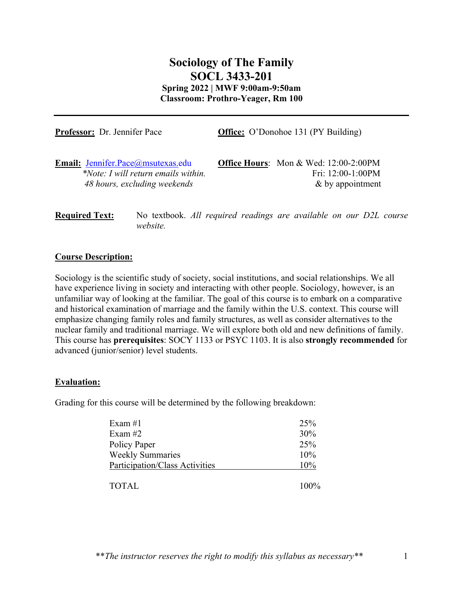# **Sociology of The Family SOCL 3433-201 Spring 2022 | MWF 9:00am-9:50am Classroom: Prothro-Yeager, Rm 100**

| Professor: Dr. Jennifer Pace          | <b>Office:</b> O'Donohoe 131 (PY Building)   |  |
|---------------------------------------|----------------------------------------------|--|
| Email: Jennifer.Pace@msutexas.edu     | <b>Office Hours:</b> Mon & Wed: 12:00-2:00PM |  |
| $*Note: I will return emails within.$ | Fri: 12:00-1:00PM                            |  |
| 48 hours, excluding weekends          | $\&$ by appointment                          |  |

**Required Text:** No textbook. *All required readings are available on our D2L course website.*

#### **Course Description:**

Sociology is the scientific study of society, social institutions, and social relationships. We all have experience living in society and interacting with other people. Sociology, however, is an unfamiliar way of looking at the familiar. The goal of this course is to embark on a comparative and historical examination of marriage and the family within the U.S. context. This course will emphasize changing family roles and family structures, as well as consider alternatives to the nuclear family and traditional marriage. We will explore both old and new definitions of family. This course has **prerequisites**: SOCY 1133 or PSYC 1103. It is also **strongly recommended** for advanced (junior/senior) level students.

#### **Evaluation:**

Grading for this course will be determined by the following breakdown:

| Exam $#1$                      | 25%     |
|--------------------------------|---------|
| Exam $#2$                      | 30%     |
| Policy Paper                   | 25%     |
| <b>Weekly Summaries</b>        | 10%     |
| Participation/Class Activities | 10%     |
| <b>TOTAL</b>                   | $100\%$ |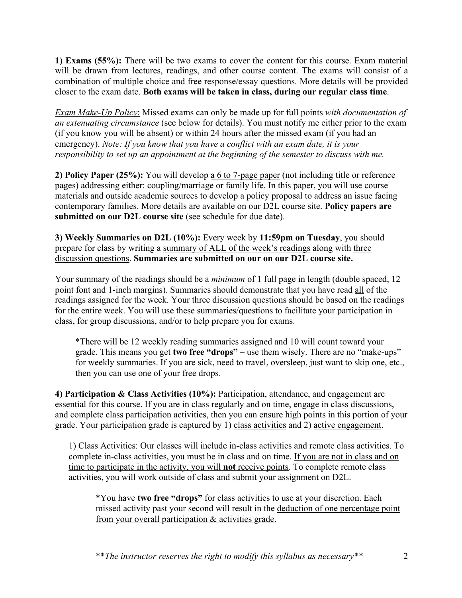**1) Exams (55%):** There will be two exams to cover the content for this course. Exam material will be drawn from lectures, readings, and other course content. The exams will consist of a combination of multiple choice and free response/essay questions. More details will be provided closer to the exam date. **Both exams will be taken in class, during our regular class time**.

*Exam Make-Up Policy*: Missed exams can only be made up for full points *with documentation of an extenuating circumstance* (see below for details). You must notify me either prior to the exam (if you know you will be absent) or within 24 hours after the missed exam (if you had an emergency). *Note: If you know that you have a conflict with an exam date, it is your responsibility to set up an appointment at the beginning of the semester to discuss with me.*

**2) Policy Paper (25%):** You will develop a 6 to 7-page paper (not including title or reference pages) addressing either: coupling/marriage or family life. In this paper, you will use course materials and outside academic sources to develop a policy proposal to address an issue facing contemporary families. More details are available on our D2L course site. **Policy papers are submitted on our D2L course site** (see schedule for due date).

**3) Weekly Summaries on D2L (10%):** Every week by **11:59pm on Tuesday**, you should prepare for class by writing a summary of ALL of the week's readings along with three discussion questions. **Summaries are submitted on our on our D2L course site.** 

Your summary of the readings should be a *minimum* of 1 full page in length (double spaced, 12 point font and 1-inch margins). Summaries should demonstrate that you have read all of the readings assigned for the week. Your three discussion questions should be based on the readings for the entire week. You will use these summaries/questions to facilitate your participation in class, for group discussions, and/or to help prepare you for exams.

\*There will be 12 weekly reading summaries assigned and 10 will count toward your grade. This means you get **two free "drops"** – use them wisely. There are no "make-ups" for weekly summaries. If you are sick, need to travel, oversleep, just want to skip one, etc., then you can use one of your free drops.

**4) Participation & Class Activities (10%):** Participation, attendance, and engagement are essential for this course. If you are in class regularly and on time, engage in class discussions, and complete class participation activities, then you can ensure high points in this portion of your grade. Your participation grade is captured by 1) class activities and 2) active engagement.

1) Class Activities: Our classes will include in-class activities and remote class activities. To complete in-class activities, you must be in class and on time. If you are not in class and on time to participate in the activity, you will **not** receive points. To complete remote class activities, you will work outside of class and submit your assignment on D2L.

\*You have **two free "drops"** for class activities to use at your discretion. Each missed activity past your second will result in the deduction of one percentage point from your overall participation & activities grade.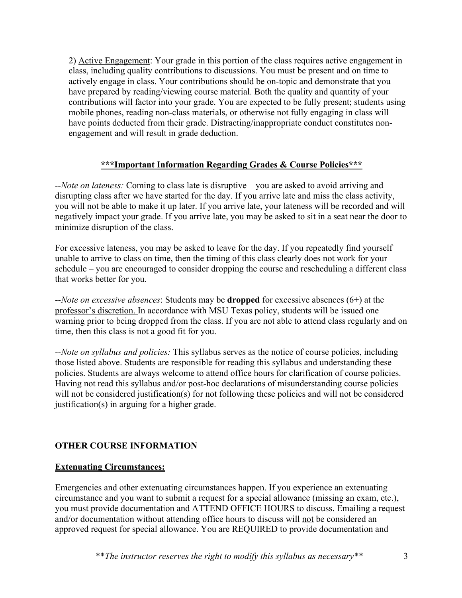2) Active Engagement: Your grade in this portion of the class requires active engagement in class, including quality contributions to discussions. You must be present and on time to actively engage in class. Your contributions should be on-topic and demonstrate that you have prepared by reading/viewing course material. Both the quality and quantity of your contributions will factor into your grade. You are expected to be fully present; students using mobile phones, reading non-class materials, or otherwise not fully engaging in class will have points deducted from their grade. Distracting/inappropriate conduct constitutes nonengagement and will result in grade deduction.

#### **\*\*\*Important Information Regarding Grades & Course Policies\*\*\***

*--Note on lateness:* Coming to class late is disruptive – you are asked to avoid arriving and disrupting class after we have started for the day. If you arrive late and miss the class activity, you will not be able to make it up later. If you arrive late, your lateness will be recorded and will negatively impact your grade. If you arrive late, you may be asked to sit in a seat near the door to minimize disruption of the class.

For excessive lateness, you may be asked to leave for the day. If you repeatedly find yourself unable to arrive to class on time, then the timing of this class clearly does not work for your schedule – you are encouraged to consider dropping the course and rescheduling a different class that works better for you.

--*Note on excessive absences*: Students may be **dropped** for excessive absences (6+) at the professor's discretion. In accordance with MSU Texas policy, students will be issued one warning prior to being dropped from the class. If you are not able to attend class regularly and on time, then this class is not a good fit for you.

*--Note on syllabus and policies:* This syllabus serves as the notice of course policies, including those listed above. Students are responsible for reading this syllabus and understanding these policies. Students are always welcome to attend office hours for clarification of course policies. Having not read this syllabus and/or post-hoc declarations of misunderstanding course policies will not be considered justification(s) for not following these policies and will not be considered justification(s) in arguing for a higher grade.

## **OTHER COURSE INFORMATION**

#### **Extenuating Circumstances:**

Emergencies and other extenuating circumstances happen. If you experience an extenuating circumstance and you want to submit a request for a special allowance (missing an exam, etc.), you must provide documentation and ATTEND OFFICE HOURS to discuss. Emailing a request and/or documentation without attending office hours to discuss will not be considered an approved request for special allowance. You are REQUIRED to provide documentation and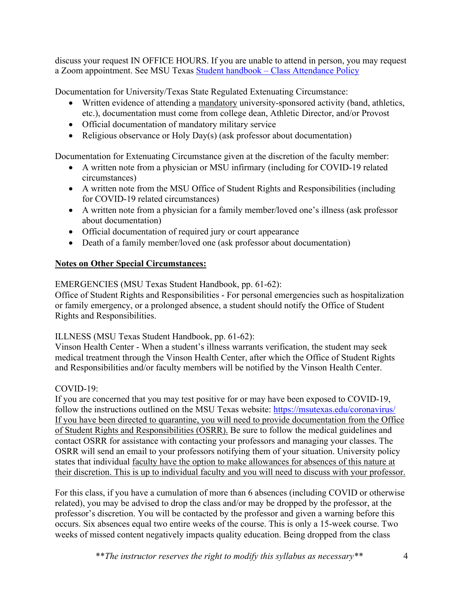discuss your request IN OFFICE HOURS. If you are unable to attend in person, you may request a Zoom appointment. See MSU Texas Student handbook – Class Attendance Policy

Documentation for University/Texas State Regulated Extenuating Circumstance:

- Written evidence of attending a mandatory university-sponsored activity (band, athletics, etc.), documentation must come from college dean, Athletic Director, and/or Provost
- Official documentation of mandatory military service
- Religious observance or Holy Day(s) (ask professor about documentation)

Documentation for Extenuating Circumstance given at the discretion of the faculty member:

- A written note from a physician or MSU infirmary (including for COVID-19 related circumstances)
- A written note from the MSU Office of Student Rights and Responsibilities (including for COVID-19 related circumstances)
- A written note from a physician for a family member/loved one's illness (ask professor about documentation)
- Official documentation of required jury or court appearance
- Death of a family member/loved one (ask professor about documentation)

#### **Notes on Other Special Circumstances:**

EMERGENCIES (MSU Texas Student Handbook, pp. 61-62):

Office of Student Rights and Responsibilities - For personal emergencies such as hospitalization or family emergency, or a prolonged absence, a student should notify the Office of Student Rights and Responsibilities.

#### ILLNESS (MSU Texas Student Handbook, pp. 61-62):

Vinson Health Center - When a student's illness warrants verification, the student may seek medical treatment through the Vinson Health Center, after which the Office of Student Rights and Responsibilities and/or faculty members will be notified by the Vinson Health Center.

## COVID-19:

If you are concerned that you may test positive for or may have been exposed to COVID-19, follow the instructions outlined on the MSU Texas website: https://msutexas.edu/coronavirus/ If you have been directed to quarantine, you will need to provide documentation from the Office of Student Rights and Responsibilities (OSRR). Be sure to follow the medical guidelines and contact OSRR for assistance with contacting your professors and managing your classes. The OSRR will send an email to your professors notifying them of your situation. University policy states that individual faculty have the option to make allowances for absences of this nature at their discretion. This is up to individual faculty and you will need to discuss with your professor.

For this class, if you have a cumulation of more than 6 absences (including COVID or otherwise related), you may be advised to drop the class and/or may be dropped by the professor, at the professor's discretion. You will be contacted by the professor and given a warning before this occurs. Six absences equal two entire weeks of the course. This is only a 15-week course. Two weeks of missed content negatively impacts quality education. Being dropped from the class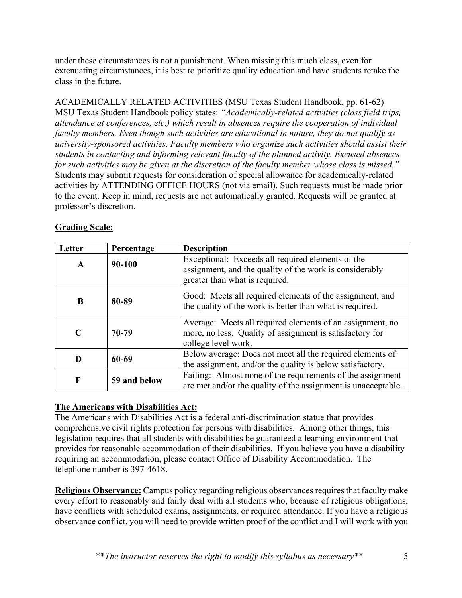under these circumstances is not a punishment. When missing this much class, even for extenuating circumstances, it is best to prioritize quality education and have students retake the class in the future.

ACADEMICALLY RELATED ACTIVITIES (MSU Texas Student Handbook, pp. 61-62) MSU Texas Student Handbook policy states: *"Academically-related activities (class field trips, attendance at conferences, etc.) which result in absences require the cooperation of individual faculty members. Even though such activities are educational in nature, they do not qualify as university-sponsored activities. Faculty members who organize such activities should assist their students in contacting and informing relevant faculty of the planned activity. Excused absences for such activities may be given at the discretion of the faculty member whose class is missed."* Students may submit requests for consideration of special allowance for academically-related activities by ATTENDING OFFICE HOURS (not via email). Such requests must be made prior to the event. Keep in mind, requests are not automatically granted. Requests will be granted at professor's discretion.

| Letter | Percentage   | <b>Description</b>                                                                                                                             |
|--------|--------------|------------------------------------------------------------------------------------------------------------------------------------------------|
| A      | 90-100       | Exceptional: Exceeds all required elements of the<br>assignment, and the quality of the work is considerably<br>greater than what is required. |
| B      | 80-89        | Good: Meets all required elements of the assignment, and<br>the quality of the work is better than what is required.                           |
|        | 70-79        | Average: Meets all required elements of an assignment, no<br>more, no less. Quality of assignment is satisfactory for<br>college level work.   |
| D      | 60-69        | Below average: Does not meet all the required elements of<br>the assignment, and/or the quality is below satisfactory.                         |
| F      | 59 and below | Failing: Almost none of the requirements of the assignment<br>are met and/or the quality of the assignment is unacceptable.                    |

## **Grading Scale:**

## **The Americans with Disabilities Act:**

The Americans with Disabilities Act is a federal anti-discrimination statue that provides comprehensive civil rights protection for persons with disabilities. Among other things, this legislation requires that all students with disabilities be guaranteed a learning environment that provides for reasonable accommodation of their disabilities. If you believe you have a disability requiring an accommodation, please contact Office of Disability Accommodation. The telephone number is 397-4618.

**Religious Observance:** Campus policy regarding religious observances requires that faculty make every effort to reasonably and fairly deal with all students who, because of religious obligations, have conflicts with scheduled exams, assignments, or required attendance. If you have a religious observance conflict, you will need to provide written proof of the conflict and I will work with you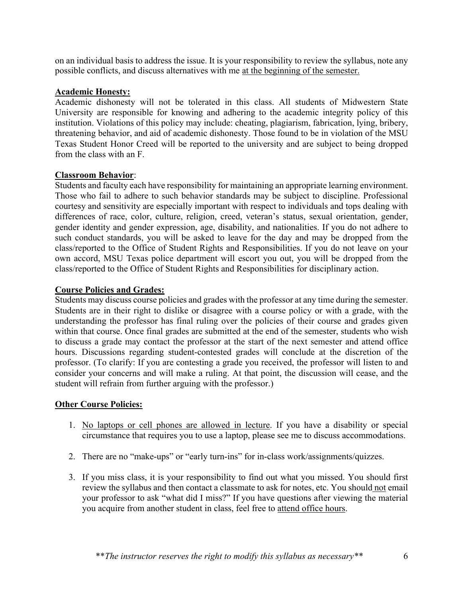on an individual basis to address the issue. It is your responsibility to review the syllabus, note any possible conflicts, and discuss alternatives with me at the beginning of the semester.

#### **Academic Honesty:**

Academic dishonesty will not be tolerated in this class. All students of Midwestern State University are responsible for knowing and adhering to the academic integrity policy of this institution. Violations of this policy may include: cheating, plagiarism, fabrication, lying, bribery, threatening behavior, and aid of academic dishonesty. Those found to be in violation of the MSU Texas Student Honor Creed will be reported to the university and are subject to being dropped from the class with an F.

#### **Classroom Behavior**:

Students and faculty each have responsibility for maintaining an appropriate learning environment. Those who fail to adhere to such behavior standards may be subject to discipline. Professional courtesy and sensitivity are especially important with respect to individuals and tops dealing with differences of race, color, culture, religion, creed, veteran's status, sexual orientation, gender, gender identity and gender expression, age, disability, and nationalities. If you do not adhere to such conduct standards, you will be asked to leave for the day and may be dropped from the class/reported to the Office of Student Rights and Responsibilities. If you do not leave on your own accord, MSU Texas police department will escort you out, you will be dropped from the class/reported to the Office of Student Rights and Responsibilities for disciplinary action.

#### **Course Policies and Grades:**

Students may discuss course policies and grades with the professor at any time during the semester. Students are in their right to dislike or disagree with a course policy or with a grade, with the understanding the professor has final ruling over the policies of their course and grades given within that course. Once final grades are submitted at the end of the semester, students who wish to discuss a grade may contact the professor at the start of the next semester and attend office hours. Discussions regarding student-contested grades will conclude at the discretion of the professor. (To clarify: If you are contesting a grade you received, the professor will listen to and consider your concerns and will make a ruling. At that point, the discussion will cease, and the student will refrain from further arguing with the professor.)

#### **Other Course Policies:**

- 1. No laptops or cell phones are allowed in lecture. If you have a disability or special circumstance that requires you to use a laptop, please see me to discuss accommodations.
- 2. There are no "make-ups" or "early turn-ins" for in-class work/assignments/quizzes.
- 3. If you miss class, it is your responsibility to find out what you missed. You should first review the syllabus and then contact a classmate to ask for notes, etc. You should not email your professor to ask "what did I miss?" If you have questions after viewing the material you acquire from another student in class, feel free to attend office hours.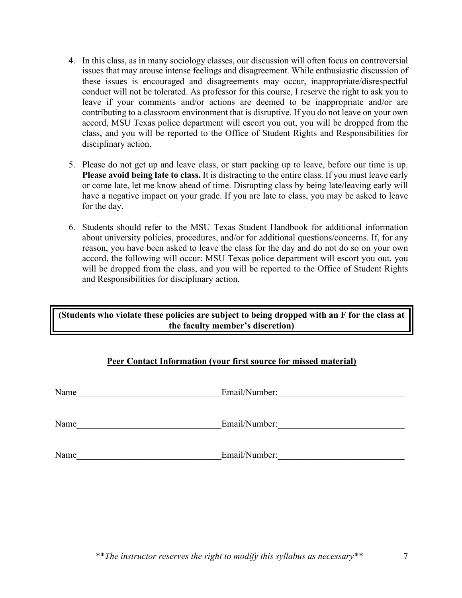- 4. In this class, as in many sociology classes, our discussion will often focus on controversial issues that may arouse intense feelings and disagreement. While enthusiastic discussion of these issues is encouraged and disagreements may occur, inappropriate/disrespectful conduct will not be tolerated. As professor for this course, I reserve the right to ask you to leave if your comments and/or actions are deemed to be inappropriate and/or are contributing to a classroom environment that is disruptive. If you do not leave on your own accord, MSU Texas police department will escort you out, you will be dropped from the class, and you will be reported to the Office of Student Rights and Responsibilities for disciplinary action.
- 5. Please do not get up and leave class, or start packing up to leave, before our time is up. **Please avoid being late to class.** It is distracting to the entire class. If you must leave early or come late, let me know ahead of time. Disrupting class by being late/leaving early will have a negative impact on your grade. If you are late to class, you may be asked to leave for the day.
- 6. Students should refer to the MSU Texas Student Handbook for additional information about university policies, procedures, and/or for additional questions/concerns. If, for any reason, you have been asked to leave the class for the day and do not do so on your own accord, the following will occur: MSU Texas police department will escort you out, you will be dropped from the class, and you will be reported to the Office of Student Rights and Responsibilities for disciplinary action.

## **(Students who violate these policies are subject to being dropped with an F for the class at the faculty member's discretion)**

## **Peer Contact Information (your first source for missed material)**

| Name | Email/Number: |
|------|---------------|
| Name | Email/Number: |
| Name | Email/Number: |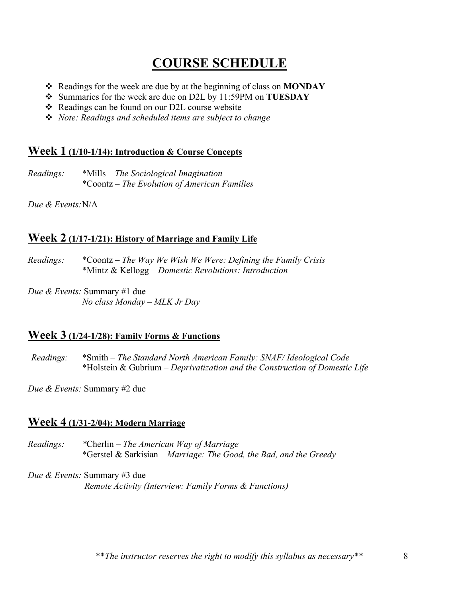# **COURSE SCHEDULE**

- v Readings for the week are due by at the beginning of class on **MONDAY**
- v Summaries for the week are due on D2L by 11:59PM on **TUESDAY**
- $\triangle$  Readings can be found on our D2L course website
- v *Note: Readings and scheduled items are subject to change*

## **Week 1 (1/10-1/14): Introduction & Course Concepts**

*Readings:* \*Mills – *The Sociological Imagination* \*Coontz – *The Evolution of American Families*

*Due & Events:*N/A

## **Week 2 (1/17-1/21): History of Marriage and Family Life**

- *Readings:* \*Coontz *The Way We Wish We Were: Defining the Family Crisis* \*Mintz & Kellogg – *Domestic Revolutions: Introduction*
- *Due & Events:* Summary #1 due *No class Monday – MLK Jr Day*

## **Week 3 (1/24-1/28): Family Forms & Functions**

*Readings:* \*Smith – *The Standard North American Family: SNAF/ Ideological Code* \*Holstein & Gubrium – *Deprivatization and the Construction of Domestic Life*

*Due & Events:* Summary #2 due

# **Week 4 (1/31-2/04): Modern Marriage**

- *Readings: \**Cherlin *The American Way of Marriage* \*Gerstel & Sarkisian – *Marriage: The Good, the Bad, and the Greedy*
- *Due & Events:* Summary #3 due  *Remote Activity (Interview: Family Forms & Functions)*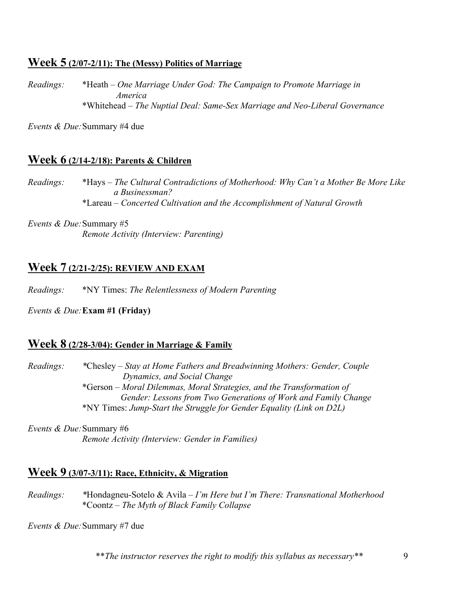# **Week 5 (2/07-2/11): The (Messy) Politics of Marriage**

*Readings:* \*Heath – *One Marriage Under God: The Campaign to Promote Marriage in America* \*Whitehead – *The Nuptial Deal: Same-Sex Marriage and Neo-Liberal Governance*

*Events & Due:*Summary #4 due

# **Week 6 (2/14-2/18): Parents & Children**

*Readings:* \*Hays – *The Cultural Contradictions of Motherhood: Why Can't a Mother Be More Like a Businessman?* \*Lareau – *Concerted Cultivation and the Accomplishment of Natural Growth*

*Events & Due:*Summary #5  *Remote Activity (Interview: Parenting)*

# **Week 7 (2/21-2/25): REVIEW AND EXAM**

*: Readings:* \*NY Times: *The Relentlessness of Modern Parenting* 

#### *Events & Due:***Exam #1 (Friday)**

## **Week 8 (2/28-3/04): Gender in Marriage & Family**

*: Readings: \**Chesley – *Stay at Home Fathers and Breadwinning Mothers: Gender, Couple Dynamics, and Social Change* \*Gerson – *Moral Dilemmas, Moral Strategies, and the Transformation of Gender: Lessons from Two Generations of Work and Family Change* \*NY Times: *Jump-Start the Struggle for Gender Equality (Link on D2L)*

*Events & Due:*Summary #6  *Remote Activity (Interview: Gender in Families)*

# **Week 9 (3/07-3/11): Race, Ethnicity, & Migration**

*Readings: \**Hondagneu-Sotelo & Avila – *I'm Here but I'm There: Transnational Motherhood* \*Coontz – *The Myth of Black Family Collapse*

*Events & Due:*Summary #7 due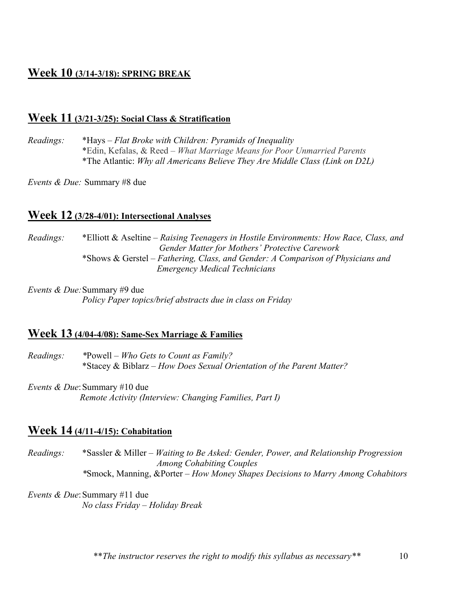# **Week 10 (3/14-3/18): SPRING BREAK**

## **Week 11 (3/21-3/25): Social Class & Stratification**

*: Readings:* \*Hays – *Flat Broke with Children: Pyramids of Inequality* \*Edin, Kefalas, & Reed – *What Marriage Means for Poor Unmarried Parents* \*The Atlantic: *Why all Americans Believe They Are Middle Class (Link on D2L)*

*Events & Due:* Summary #8 due

## **Week 12 (3/28-4/01): Intersectional Analyses**

*Readings:* \*Elliott & Aseltine – *Raising Teenagers in Hostile Environments: How Race, Class, and Gender Matter for Mothers' Protective Carework* \*Shows & Gerstel – *Fathering, Class, and Gender: A Comparison of Physicians and Emergency Medical Technicians*

*Events & Due:*Summary #9 due  *Policy Paper topics/brief abstracts due in class on Friday*

#### **Week 13 (4/04-4/08): Same-Sex Marriage & Families**

*Readings: \**Powell – *Who Gets to Count as Family?* \*Stacey & Biblarz – *How Does Sexual Orientation of the Parent Matter?*

*Events & Due:* Summary #10 due  *Remote Activity (Interview: Changing Families, Part I)*

# **Week 14 (4/11-4/15): Cohabitation**

*Readings:* \*Sassler & Miller – *Waiting to Be Asked: Gender, Power, and Relationship Progression Among Cohabiting Couples \**Smock, Manning, &Porter – *How Money Shapes Decisions to Marry Among Cohabitors*

*Events & Due:* Summary #11 due  *No class Friday – Holiday Break*